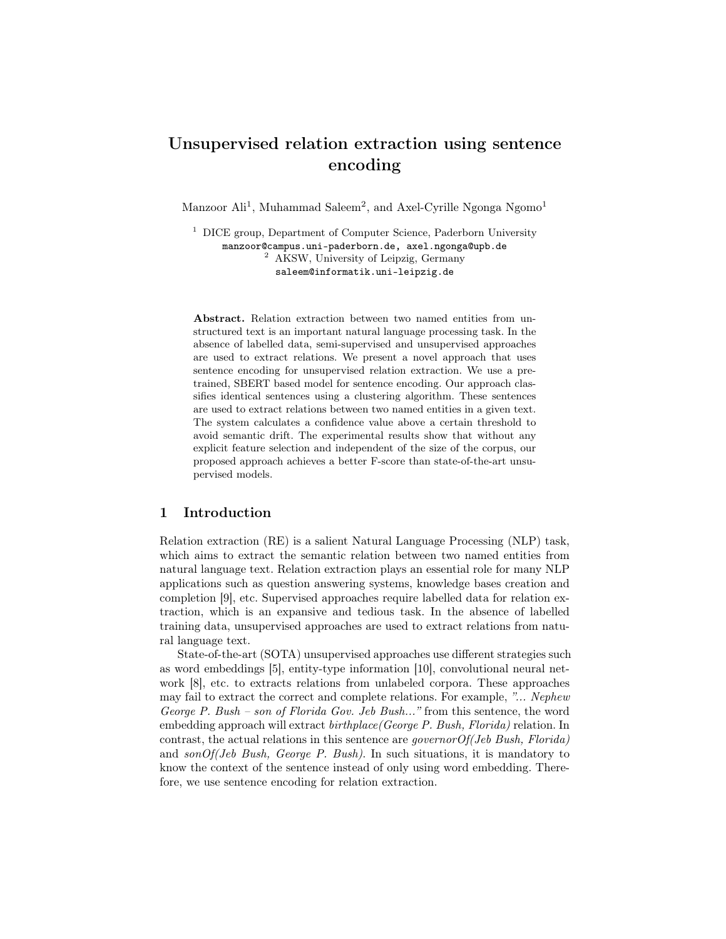# Unsupervised relation extraction using sentence encoding

Manzoor Ali<sup>1</sup>, Muhammad Saleem<sup>2</sup>, and Axel-Cyrille Ngonga Ngomo<sup>1</sup>

<sup>1</sup> DICE group, Department of Computer Science, Paderborn University manzoor@campus.uni-paderborn.de, axel.ngonga@upb.de <sup>2</sup> AKSW, University of Leipzig, Germany saleem@informatik.uni-leipzig.de

Abstract. Relation extraction between two named entities from unstructured text is an important natural language processing task. In the absence of labelled data, semi-supervised and unsupervised approaches are used to extract relations. We present a novel approach that uses sentence encoding for unsupervised relation extraction. We use a pretrained, SBERT based model for sentence encoding. Our approach classifies identical sentences using a clustering algorithm. These sentences are used to extract relations between two named entities in a given text. The system calculates a confidence value above a certain threshold to avoid semantic drift. The experimental results show that without any explicit feature selection and independent of the size of the corpus, our proposed approach achieves a better F-score than state-of-the-art unsupervised models.

#### 1 Introduction

Relation extraction (RE) is a salient Natural Language Processing (NLP) task, which aims to extract the semantic relation between two named entities from natural language text. Relation extraction plays an essential role for many NLP applications such as question answering systems, knowledge bases creation and completion [9], etc. Supervised approaches require labelled data for relation extraction, which is an expansive and tedious task. In the absence of labelled training data, unsupervised approaches are used to extract relations from natural language text.

State-of-the-art (SOTA) unsupervised approaches use different strategies such as word embeddings [5], entity-type information [10], convolutional neural network [8], etc. to extracts relations from unlabeled corpora. These approaches may fail to extract the correct and complete relations. For example, "... Nephew George P. Bush – son of Florida Gov. Jeb Bush..." from this sentence, the word embedding approach will extract birthplace(George P. Bush, Florida) relation. In contrast, the actual relations in this sentence are governor  $Of(Jeb Bush, Florida)$ and sonOf(Jeb Bush, George P. Bush). In such situations, it is mandatory to know the context of the sentence instead of only using word embedding. Therefore, we use sentence encoding for relation extraction.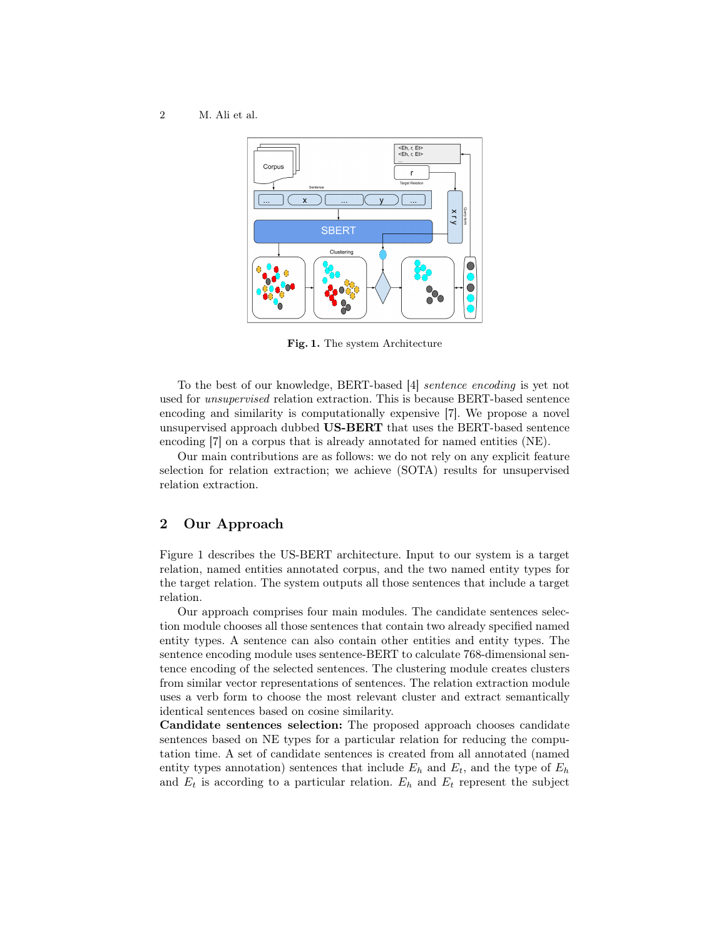#### 2 M. Ali et al.



Fig. 1. The system Architecture

To the best of our knowledge, BERT-based [4] sentence encoding is yet not used for unsupervised relation extraction. This is because BERT-based sentence encoding and similarity is computationally expensive [7]. We propose a novel unsupervised approach dubbed US-BERT that uses the BERT-based sentence encoding [7] on a corpus that is already annotated for named entities (NE).

Our main contributions are as follows: we do not rely on any explicit feature selection for relation extraction; we achieve (SOTA) results for unsupervised relation extraction.

## 2 Our Approach

Figure 1 describes the US-BERT architecture. Input to our system is a target relation, named entities annotated corpus, and the two named entity types for the target relation. The system outputs all those sentences that include a target relation.

Our approach comprises four main modules. The candidate sentences selection module chooses all those sentences that contain two already specified named entity types. A sentence can also contain other entities and entity types. The sentence encoding module uses sentence-BERT to calculate 768-dimensional sentence encoding of the selected sentences. The clustering module creates clusters from similar vector representations of sentences. The relation extraction module uses a verb form to choose the most relevant cluster and extract semantically identical sentences based on cosine similarity.

Candidate sentences selection: The proposed approach chooses candidate sentences based on NE types for a particular relation for reducing the computation time. A set of candidate sentences is created from all annotated (named entity types annotation) sentences that include  $E_h$  and  $E_t$ , and the type of  $E_h$ and  $E_t$  is according to a particular relation.  $E_h$  and  $E_t$  represent the subject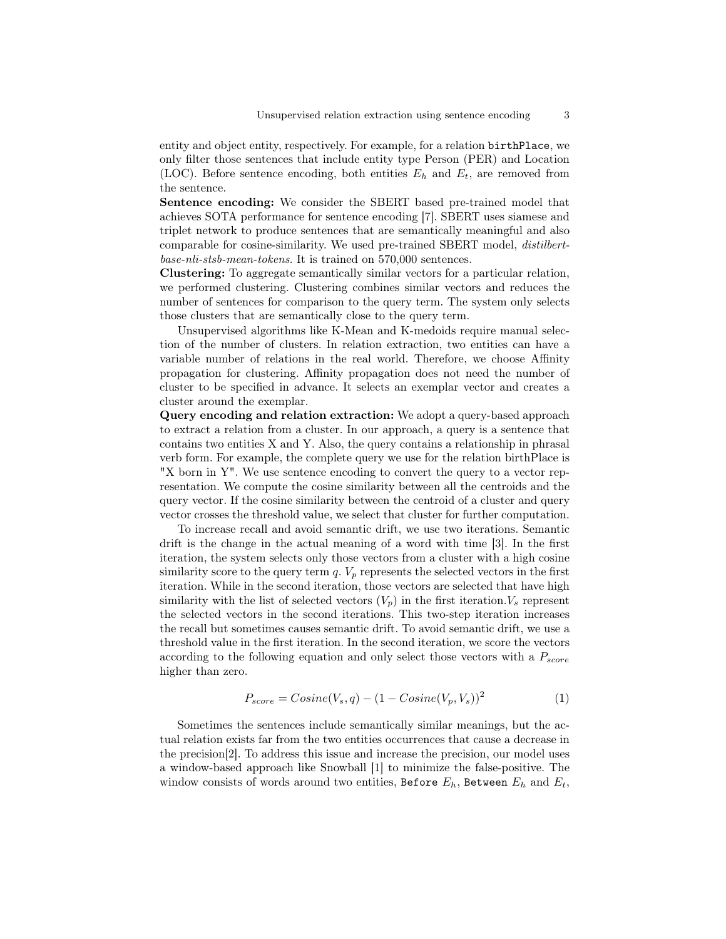entity and object entity, respectively. For example, for a relation birthPlace, we only filter those sentences that include entity type Person (PER) and Location (LOC). Before sentence encoding, both entities  $E_h$  and  $E_t$ , are removed from the sentence.

Sentence encoding: We consider the SBERT based pre-trained model that achieves SOTA performance for sentence encoding [7]. SBERT uses siamese and triplet network to produce sentences that are semantically meaningful and also comparable for cosine-similarity. We used pre-trained SBERT model, distilbertbase-nli-stsb-mean-tokens. It is trained on 570,000 sentences.

Clustering: To aggregate semantically similar vectors for a particular relation, we performed clustering. Clustering combines similar vectors and reduces the number of sentences for comparison to the query term. The system only selects those clusters that are semantically close to the query term.

Unsupervised algorithms like K-Mean and K-medoids require manual selection of the number of clusters. In relation extraction, two entities can have a variable number of relations in the real world. Therefore, we choose Affinity propagation for clustering. Affinity propagation does not need the number of cluster to be specified in advance. It selects an exemplar vector and creates a cluster around the exemplar.

Query encoding and relation extraction: We adopt a query-based approach to extract a relation from a cluster. In our approach, a query is a sentence that contains two entities X and Y. Also, the query contains a relationship in phrasal verb form. For example, the complete query we use for the relation birthPlace is "X born in Y". We use sentence encoding to convert the query to a vector representation. We compute the cosine similarity between all the centroids and the query vector. If the cosine similarity between the centroid of a cluster and query vector crosses the threshold value, we select that cluster for further computation.

To increase recall and avoid semantic drift, we use two iterations. Semantic drift is the change in the actual meaning of a word with time [3]. In the first iteration, the system selects only those vectors from a cluster with a high cosine similarity score to the query term  $q$ .  $V_p$  represents the selected vectors in the first iteration. While in the second iteration, those vectors are selected that have high similarity with the list of selected vectors  $(V_p)$  in the first iteration.  $V_s$  represent the selected vectors in the second iterations. This two-step iteration increases the recall but sometimes causes semantic drift. To avoid semantic drift, we use a threshold value in the first iteration. In the second iteration, we score the vectors according to the following equation and only select those vectors with a  $P_{score}$ higher than zero.

$$
P_{score} = Cosine(V_s, q) - (1 - Cosine(V_p, V_s))^2
$$
\n(1)

Sometimes the sentences include semantically similar meanings, but the actual relation exists far from the two entities occurrences that cause a decrease in the precision[2]. To address this issue and increase the precision, our model uses a window-based approach like Snowball [1] to minimize the false-positive. The window consists of words around two entities, Before  $E_h$ , Between  $E_h$  and  $E_t$ ,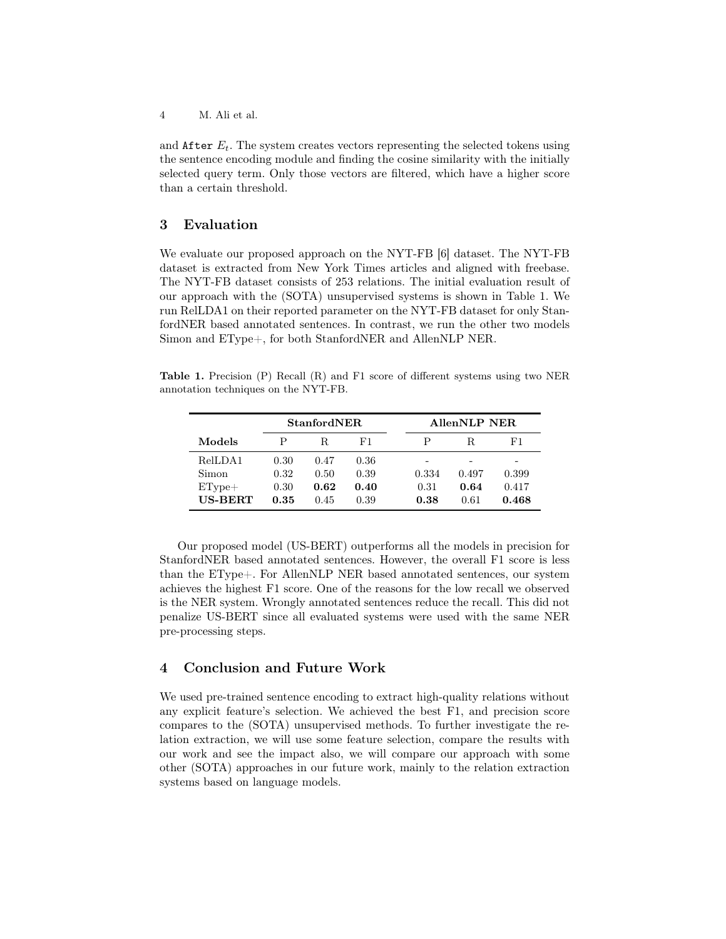and After  $E_t$ . The system creates vectors representing the selected tokens using the sentence encoding module and finding the cosine similarity with the initially selected query term. Only those vectors are filtered, which have a higher score than a certain threshold.

# 3 Evaluation

We evaluate our proposed approach on the NYT-FB [6] dataset. The NYT-FB dataset is extracted from New York Times articles and aligned with freebase. The NYT-FB dataset consists of 253 relations. The initial evaluation result of our approach with the (SOTA) unsupervised systems is shown in Table 1. We run RelLDA1 on their reported parameter on the NYT-FB dataset for only StanfordNER based annotated sentences. In contrast, we run the other two models Simon and EType+, for both StanfordNER and AllenNLP NER.

Table 1. Precision (P) Recall (R) and F1 score of different systems using two NER annotation techniques on the NYT-FB.

|                | StanfordNER |      |      | AllenNLP NER |       |             |
|----------------|-------------|------|------|--------------|-------|-------------|
| Models         | P           | R    | F1   |              |       | $_{\rm F1}$ |
| RelLDA1        | 0.30        | 0.47 | 0.36 | -            | -     | -           |
| Simon          | 0.32        | 0.50 | 0.39 | 0.334        | 0.497 | 0.399       |
| $EType+$       | 0.30        | 0.62 | 0.40 | 0.31         | 0.64  | 0.417       |
| <b>US-BERT</b> | 0.35        | 0.45 | 0.39 | 0.38         | 0.61  | 0.468       |

Our proposed model (US-BERT) outperforms all the models in precision for StanfordNER based annotated sentences. However, the overall F1 score is less than the EType+. For AllenNLP NER based annotated sentences, our system achieves the highest F1 score. One of the reasons for the low recall we observed is the NER system. Wrongly annotated sentences reduce the recall. This did not penalize US-BERT since all evaluated systems were used with the same NER pre-processing steps.

# 4 Conclusion and Future Work

We used pre-trained sentence encoding to extract high-quality relations without any explicit feature's selection. We achieved the best F1, and precision score compares to the (SOTA) unsupervised methods. To further investigate the relation extraction, we will use some feature selection, compare the results with our work and see the impact also, we will compare our approach with some other (SOTA) approaches in our future work, mainly to the relation extraction systems based on language models.